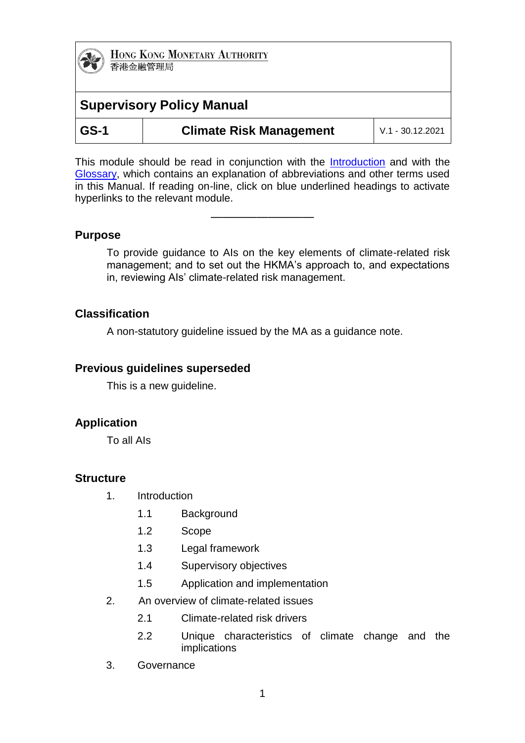# **Supervisory Policy Manual**

| ۰.<br>v<br>w |
|--------------|
|--------------|

**Climate Risk Management**  $\vert$  V.1 - 30.12.2021

This module should be read in conjunction with the [Introduction](http://www.hkma.gov.hk/media/eng/doc/key-functions/banking-stability/supervisory-policy-manual/IN.pdf) and with the [Glossary,](https://www.hkma.gov.hk/media/eng/doc/key-functions/banking-stability/supervisory-policy-manual/GL.pdf) which contains an explanation of abbreviations and other terms used in this Manual. If reading on-line, click on blue underlined headings to activate hyperlinks to the relevant module.

—————————

# **Purpose**

To provide guidance to AIs on the key elements of climate-related risk management; and to set out the HKMA's approach to, and expectations in, reviewing AIs' climate-related risk management.

# **Classification**

A non-statutory guideline issued by the MA as a guidance note.

# **Previous guidelines superseded**

This is a new guideline.

# **Application**

To all AIs

# **Structure**

- 1. Introduction
	- 1.1 Background
	- 1.2 Scope
	- 1.3 Legal framework
	- 1.4 Supervisory objectives
	- 1.5 Application and implementation
- 2. An overview of climate-related issues
	- 2.1 Climate-related risk drivers
	- 2.2 Unique characteristics of climate change and the implications
- 3. Governance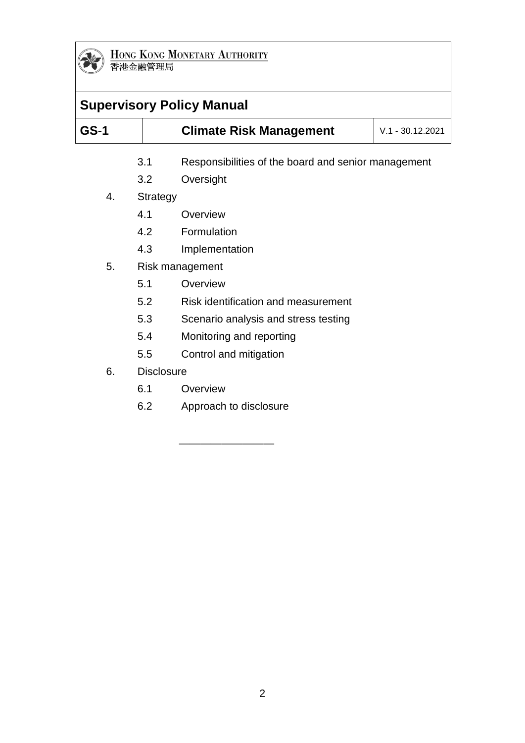

| <b>Supervisory Policy Manual</b> |                   |                                                     |                    |
|----------------------------------|-------------------|-----------------------------------------------------|--------------------|
| <b>GS-1</b>                      |                   | <b>Climate Risk Management</b>                      | $V.1 - 30.12.2021$ |
|                                  | 3.1               | Responsibilities of the board and senior management |                    |
|                                  | 3.2               | Oversight                                           |                    |
| 4.                               | <b>Strategy</b>   |                                                     |                    |
|                                  | 4.1               | Overview                                            |                    |
|                                  | 4.2               | Formulation                                         |                    |
|                                  | 4.3               | Implementation                                      |                    |
| 5.                               |                   | Risk management                                     |                    |
|                                  | 5.1               | Overview                                            |                    |
|                                  | 5.2               | Risk identification and measurement                 |                    |
|                                  | 5.3               | Scenario analysis and stress testing                |                    |
|                                  | 5.4               | Monitoring and reporting                            |                    |
|                                  | 5.5               | Control and mitigation                              |                    |
| 6.                               | <b>Disclosure</b> |                                                     |                    |
|                                  | 6.1               | Overview                                            |                    |
|                                  | 6.2               | Approach to disclosure                              |                    |
|                                  |                   |                                                     |                    |

—————————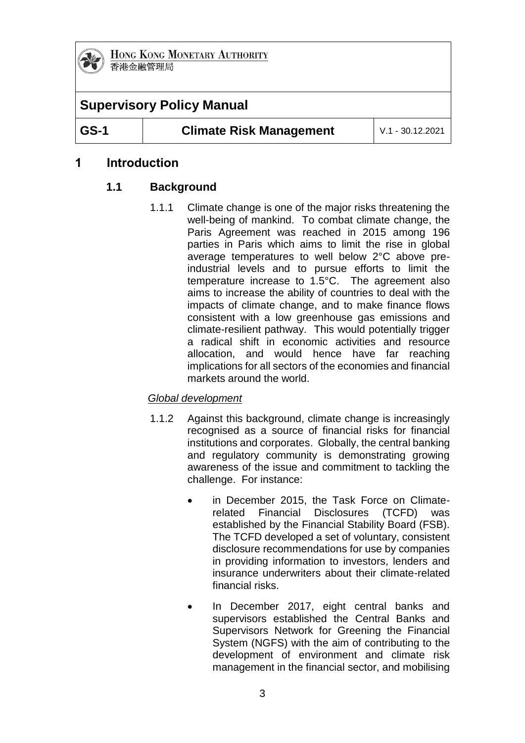

# **Supervisory Policy Manual**

**GS-1 Climate Risk Management** V.1 - 30.12.2021

# **1 Introduction**

# **1.1 Background**

1.1.1 Climate change is one of the major risks threatening the well-being of mankind. To combat climate change, the Paris Agreement was reached in 2015 among 196 parties in Paris which aims to limit the rise in global average temperatures to well below 2°C above preindustrial levels and to pursue efforts to limit the temperature increase to 1.5°C. The agreement also aims to increase the ability of countries to deal with the impacts of climate change, and to make finance flows consistent with a low greenhouse gas emissions and climate-resilient pathway. This would potentially trigger a radical shift in economic activities and resource allocation, and would hence have far reaching implications for all sectors of the economies and financial markets around the world.

# *Global development*

- 1.1.2 Against this background, climate change is increasingly recognised as a source of financial risks for financial institutions and corporates. Globally, the central banking and regulatory community is demonstrating growing awareness of the issue and commitment to tackling the challenge. For instance:
	- in December 2015, the Task Force on Climaterelated Financial Disclosures (TCFD) was established by the Financial Stability Board (FSB). The TCFD developed a set of voluntary, consistent disclosure recommendations for use by companies in providing information to investors, lenders and insurance underwriters about their climate-related financial risks.
	- In December 2017, eight central banks and supervisors established the Central Banks and Supervisors Network for Greening the Financial System (NGFS) with the aim of contributing to the development of environment and climate risk management in the financial sector, and mobilising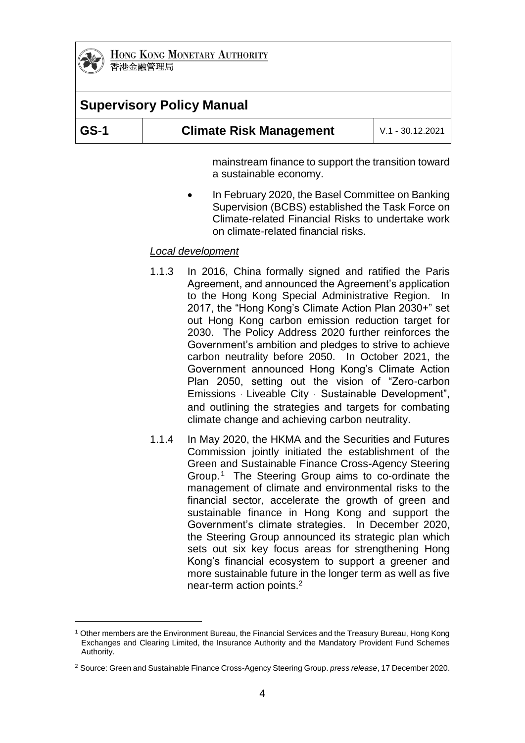

1

**HONG KONG MONETARY AUTHORITY** 香港金融管理局

| <b>Supervisory Policy Manual</b> |                                |                         |  |  |
|----------------------------------|--------------------------------|-------------------------|--|--|
| <b>GS-1</b>                      | <b>Climate Risk Management</b> | $\mid$ V.1 - 30.12.2021 |  |  |

mainstream finance to support the transition toward a sustainable economy.

 In February 2020, the Basel Committee on Banking Supervision (BCBS) established the Task Force on Climate-related Financial Risks to undertake work on climate-related financial risks.

### *Local development*

- 1.1.3 In 2016, China formally signed and ratified the Paris Agreement, and announced the Agreement's application to the Hong Kong Special Administrative Region. In 2017, the "Hong Kong's Climate Action Plan 2030+" set out Hong Kong carbon emission reduction target for 2030. The Policy Address 2020 further reinforces the Government's ambition and pledges to strive to achieve carbon neutrality before 2050. In October 2021, the Government announced Hong Kong's Climate Action Plan 2050, setting out the vision of "Zero-carbon Emissions ‧ Liveable City ‧ Sustainable Development", and outlining the strategies and targets for combating climate change and achieving carbon neutrality.
- 1.1.4 In May 2020, the HKMA and the Securities and Futures Commission jointly initiated the establishment of the Green and Sustainable Finance Cross-Agency Steering Group.<sup>1</sup> The Steering Group aims to co-ordinate the management of climate and environmental risks to the financial sector, accelerate the growth of green and sustainable finance in Hong Kong and support the Government's climate strategies. In December 2020, the Steering Group announced its strategic plan which sets out six key focus areas for strengthening Hong Kong's financial ecosystem to support a greener and more sustainable future in the longer term as well as five near-term action points.<sup>2</sup>

<sup>1</sup> Other members are the Environment Bureau, the Financial Services and the Treasury Bureau, Hong Kong Exchanges and Clearing Limited, the Insurance Authority and the Mandatory Provident Fund Schemes Authority.

<sup>2</sup> Source: Green and Sustainable Finance Cross-Agency Steering Group. *press release*, 17 December 2020.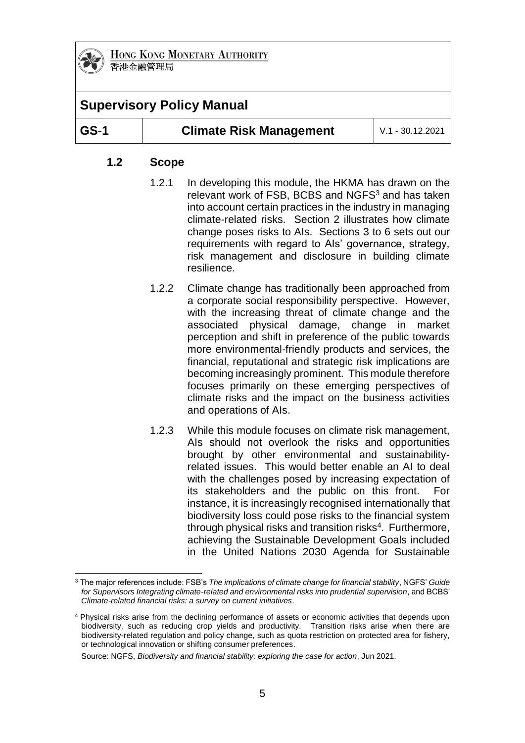

# **Supervisory Policy Manual**

1

### **GS-1 Climate Risk Management** V.1 - 30.12.2021

### **1.2 Scope**

- 1.2.1 In developing this module, the HKMA has drawn on the relevant work of FSB, BCBS and NGFS<sup>3</sup> and has taken into account certain practices in the industry in managing climate-related risks. Section 2 illustrates how climate change poses risks to AIs. Sections 3 to 6 sets out our requirements with regard to AIs' governance, strategy, risk management and disclosure in building climate resilience.
- 1.2.2 Climate change has traditionally been approached from a corporate social responsibility perspective. However, with the increasing threat of climate change and the associated physical damage, change in market perception and shift in preference of the public towards more environmental-friendly products and services, the financial, reputational and strategic risk implications are becoming increasingly prominent. This module therefore focuses primarily on these emerging perspectives of climate risks and the impact on the business activities and operations of AIs.
- 1.2.3 While this module focuses on climate risk management, AIs should not overlook the risks and opportunities brought by other environmental and sustainabilityrelated issues. This would better enable an AI to deal with the challenges posed by increasing expectation of its stakeholders and the public on this front. For instance, it is increasingly recognised internationally that biodiversity loss could pose risks to the financial system through physical risks and transition risks<sup>4</sup>. Furthermore, achieving the Sustainable Development Goals included in the United Nations 2030 Agenda for Sustainable

<sup>3</sup> The major references include: FSB's *The implications of climate change for financial stability*, NGFS' *Guide for Supervisors Integrating climate-related and environmental risks into prudential supervision*, and BCBS' *Climate-related financial risks: a survey on current initiatives*.

<sup>4</sup> Physical risks arise from the declining performance of assets or economic activities that depends upon biodiversity, such as reducing crop yields and productivity. Transition risks arise when there are biodiversity-related regulation and policy change, such as quota restriction on protected area for fishery, or technological innovation or shifting consumer preferences.

Source: NGFS, *Biodiversity and financial stability: exploring the case for action*, Jun 2021.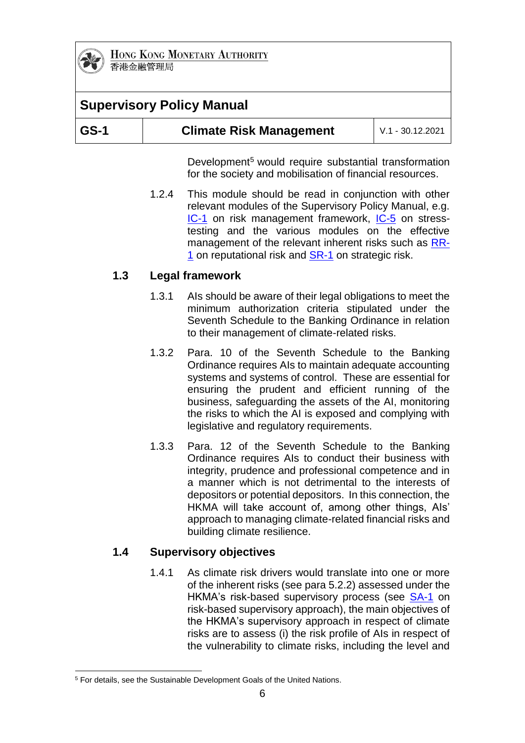

# **Supervisory Policy Manual**

| $\overline{\phantom{a}}$ GS-1<br><b>Climate Risk Management</b><br>$V.1 - 30.12.2021$ |  |
|---------------------------------------------------------------------------------------|--|
|---------------------------------------------------------------------------------------|--|

Development<sup>5</sup> would require substantial transformation for the society and mobilisation of financial resources.

1.2.4 This module should be read in conjunction with other relevant modules of the Supervisory Policy Manual, e.g. [IC-1](https://www.hkma.gov.hk/media/eng/doc/key-functions/banking-stability/supervisory-policy-manual/IC-1.pdf) on risk management framework, [IC-5](https://www.hkma.gov.hk/media/eng/doc/key-functions/banking-stability/supervisory-policy-manual/IC-5.pdf) on stresstesting and the various modules on the effective management of the relevant inherent risks such as [RR-](https://www.hkma.gov.hk/media/eng/doc/key-functions/banking-stability/supervisory-policy-manual/RR-1.pdf)[1](https://www.hkma.gov.hk/media/eng/doc/key-functions/banking-stability/supervisory-policy-manual/RR-1.pdf) on reputational risk and [SR-1](https://www.hkma.gov.hk/media/eng/doc/key-functions/banking-stability/supervisory-policy-manual/SR-1.pdf) on strategic risk.

### **1.3 Legal framework**

- 1.3.1 AIs should be aware of their legal obligations to meet the minimum authorization criteria stipulated under the Seventh Schedule to the Banking Ordinance in relation to their management of climate-related risks.
- 1.3.2 Para. 10 of the Seventh Schedule to the Banking Ordinance requires AIs to maintain adequate accounting systems and systems of control. These are essential for ensuring the prudent and efficient running of the business, safeguarding the assets of the AI, monitoring the risks to which the AI is exposed and complying with legislative and regulatory requirements.
- 1.3.3 Para. 12 of the Seventh Schedule to the Banking Ordinance requires AIs to conduct their business with integrity, prudence and professional competence and in a manner which is not detrimental to the interests of depositors or potential depositors. In this connection, the HKMA will take account of, among other things, AIs' approach to managing climate-related financial risks and building climate resilience.

### **1.4 Supervisory objectives**

1.4.1 As climate risk drivers would translate into one or more of the inherent risks (see para 5.2.2) assessed under the HKMA's risk-based supervisory process (see [SA-1](https://www.hkma.gov.hk/media/eng/doc/key-functions/banking-stability/supervisory-policy-manual/SA-1.pdf) on risk-based supervisory approach), the main objectives of the HKMA's supervisory approach in respect of climate risks are to assess (i) the risk profile of AIs in respect of the vulnerability to climate risks, including the level and

<sup>1</sup> <sup>5</sup> For details, see the Sustainable Development Goals of the United Nations.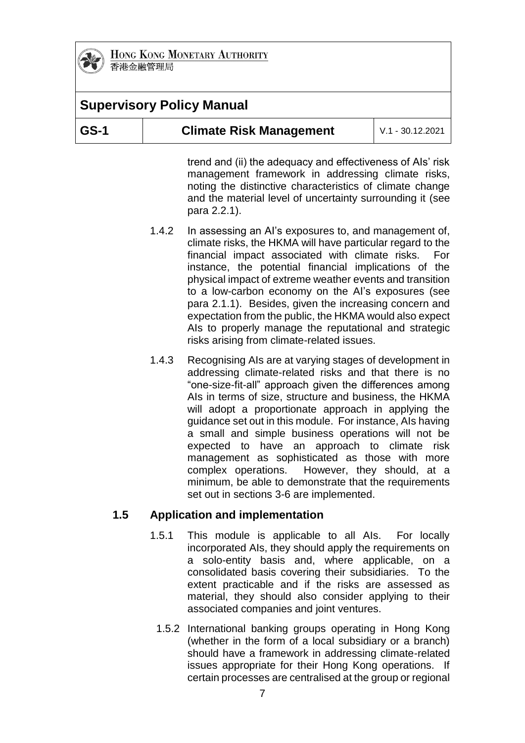

# **Supervisory Policy Manual**

| GS-1 | <b>Climate Risk Management</b> | L V.1 - 30.12.2021 |
|------|--------------------------------|--------------------|
|------|--------------------------------|--------------------|

trend and (ii) the adequacy and effectiveness of AIs' risk management framework in addressing climate risks, noting the distinctive characteristics of climate change and the material level of uncertainty surrounding it (see para 2.2.1).

- 1.4.2 In assessing an AI's exposures to, and management of, climate risks, the HKMA will have particular regard to the financial impact associated with climate risks. For instance, the potential financial implications of the physical impact of extreme weather events and transition to a low-carbon economy on the AI's exposures (see para 2.1.1). Besides, given the increasing concern and expectation from the public, the HKMA would also expect AIs to properly manage the reputational and strategic risks arising from climate-related issues.
- 1.4.3 Recognising AIs are at varying stages of development in addressing climate-related risks and that there is no "one-size-fit-all" approach given the differences among AIs in terms of size, structure and business, the HKMA will adopt a proportionate approach in applying the guidance set out in this module. For instance, AIs having a small and simple business operations will not be expected to have an approach to climate risk management as sophisticated as those with more complex operations. However, they should, at a minimum, be able to demonstrate that the requirements set out in sections 3-6 are implemented.

### **1.5 Application and implementation**

- 1.5.1 This module is applicable to all AIs. For locally incorporated AIs, they should apply the requirements on a solo-entity basis and, where applicable, on a consolidated basis covering their subsidiaries. To the extent practicable and if the risks are assessed as material, they should also consider applying to their associated companies and joint ventures.
	- 1.5.2 International banking groups operating in Hong Kong (whether in the form of a local subsidiary or a branch) should have a framework in addressing climate-related issues appropriate for their Hong Kong operations. If certain processes are centralised at the group or regional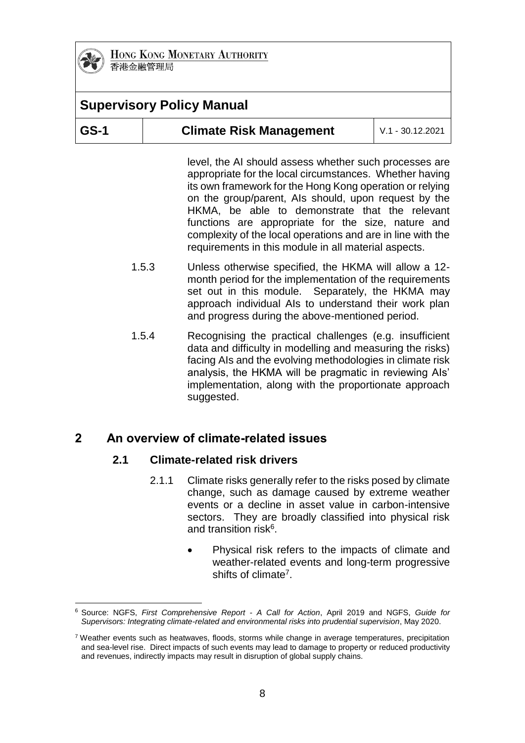

# **Supervisory Policy Manual**

| GS-1<br><b>Climate Risk Management</b><br>$\mid$ V.1 - 30.12.2021 |
|-------------------------------------------------------------------|
|-------------------------------------------------------------------|

level, the AI should assess whether such processes are appropriate for the local circumstances. Whether having its own framework for the Hong Kong operation or relying on the group/parent, AIs should, upon request by the HKMA, be able to demonstrate that the relevant functions are appropriate for the size, nature and complexity of the local operations and are in line with the requirements in this module in all material aspects.

- 1.5.3 Unless otherwise specified, the HKMA will allow a 12 month period for the implementation of the requirements set out in this module. Separately, the HKMA may approach individual AIs to understand their work plan and progress during the above-mentioned period.
- 1.5.4 Recognising the practical challenges (e.g. insufficient data and difficulty in modelling and measuring the risks) facing AIs and the evolving methodologies in climate risk analysis, the HKMA will be pragmatic in reviewing AIs' implementation, along with the proportionate approach suggested.

# **2 An overview of climate-related issues**

### **2.1 Climate-related risk drivers**

- 2.1.1 Climate risks generally refer to the risks posed by climate change, such as damage caused by extreme weather events or a decline in asset value in carbon-intensive sectors. They are broadly classified into physical risk and transition risk<sup>6</sup>.
	- Physical risk refers to the impacts of climate and weather-related events and long-term progressive shifts of climate<sup>7</sup>.

<sup>1</sup> <sup>6</sup> Source: NGFS, *First Comprehensive Report - A Call for Action*, April 2019 and NGFS, *Guide for Supervisors: Integrating climate-related and environmental risks into prudential supervision*, May 2020.

 $7$  Weather events such as heatwaves, floods, storms while change in average temperatures, precipitation and sea-level rise. Direct impacts of such events may lead to damage to property or reduced productivity and revenues, indirectly impacts may result in disruption of global supply chains.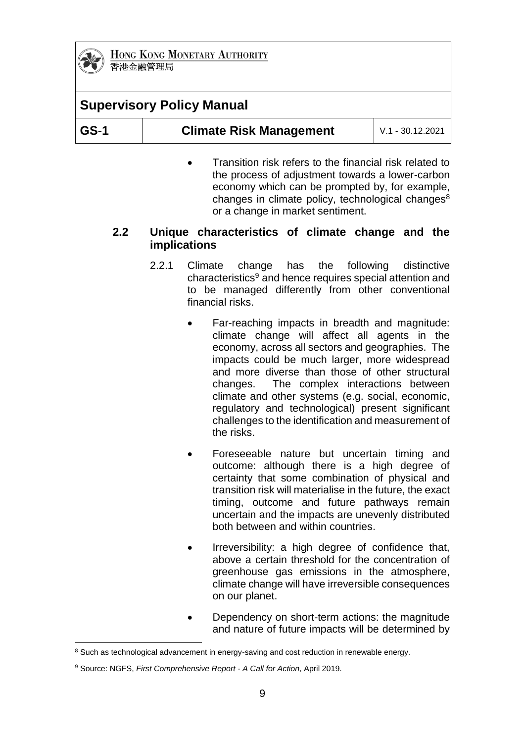

# **Supervisory Policy Manual**

| $ GS-1 $ | <b>Climate Risk Management</b> | L V.1 - 30.12.2021 |
|----------|--------------------------------|--------------------|
|----------|--------------------------------|--------------------|

 Transition risk refers to the financial risk related to the process of adjustment towards a lower-carbon economy which can be prompted by, for example, changes in climate policy, technological changes<sup>8</sup> or a change in market sentiment.

### **2.2 Unique characteristics of climate change and the implications**

- 2.2.1 Climate change has the following distinctive characteristics<sup>9</sup> and hence requires special attention and to be managed differently from other conventional financial risks.
	- Far-reaching impacts in breadth and magnitude: climate change will affect all agents in the economy, across all sectors and geographies. The impacts could be much larger, more widespread and more diverse than those of other structural changes. The complex interactions between climate and other systems (e.g. social, economic, regulatory and technological) present significant challenges to the identification and measurement of the risks.
	- Foreseeable nature but uncertain timing and outcome: although there is a high degree of certainty that some combination of physical and transition risk will materialise in the future, the exact timing, outcome and future pathways remain uncertain and the impacts are unevenly distributed both between and within countries.
	- Irreversibility: a high degree of confidence that, above a certain threshold for the concentration of greenhouse gas emissions in the atmosphere, climate change will have irreversible consequences on our planet.
	- Dependency on short-term actions: the magnitude and nature of future impacts will be determined by

<sup>1</sup> <sup>8</sup> Such as technological advancement in energy-saving and cost reduction in renewable energy.

<sup>9</sup> Source: NGFS, *First Comprehensive Report - A Call for Action*, April 2019.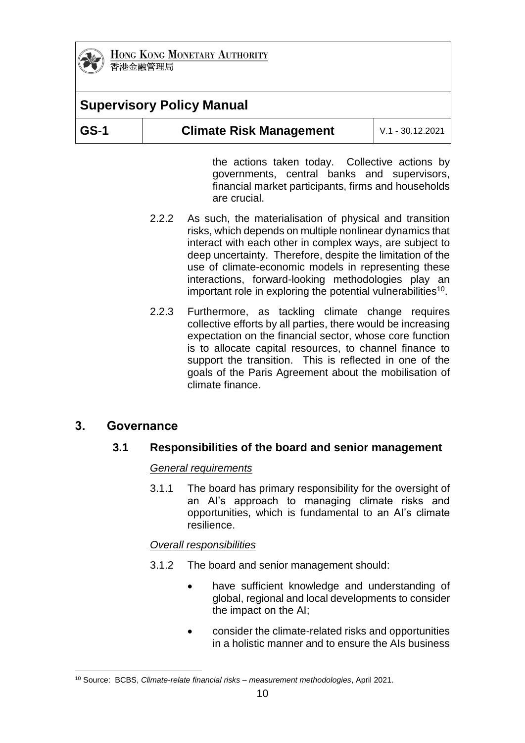

# **Supervisory Policy Manual**

| $ GS-1 $ | <b>Climate Risk Management</b> | $\mid$ V.1 - 30.12.2021 |
|----------|--------------------------------|-------------------------|
|----------|--------------------------------|-------------------------|

the actions taken today. Collective actions by governments, central banks and supervisors, financial market participants, firms and households are crucial.

- 2.2.2 As such, the materialisation of physical and transition risks, which depends on multiple nonlinear dynamics that interact with each other in complex ways, are subject to deep uncertainty. Therefore, despite the limitation of the use of climate-economic models in representing these interactions, forward-looking methodologies play an important role in exploring the potential vulnerabilities<sup>10</sup>.
- 2.2.3 Furthermore, as tackling climate change requires collective efforts by all parties, there would be increasing expectation on the financial sector, whose core function is to allocate capital resources, to channel finance to support the transition. This is reflected in one of the goals of the Paris Agreement about the mobilisation of climate finance.

# **3. Governance**

# **3.1 Responsibilities of the board and senior management**

#### *General requirements*

3.1.1 The board has primary responsibility for the oversight of an AI's approach to managing climate risks and opportunities, which is fundamental to an AI's climate resilience.

### *Overall responsibilities*

- 3.1.2 The board and senior management should:
	- have sufficient knowledge and understanding of global, regional and local developments to consider the impact on the AI;
	- consider the climate-related risks and opportunities in a holistic manner and to ensure the AIs business

<sup>1</sup> <sup>10</sup> Source: BCBS, *Climate-relate financial risks – measurement methodologies*, April 2021.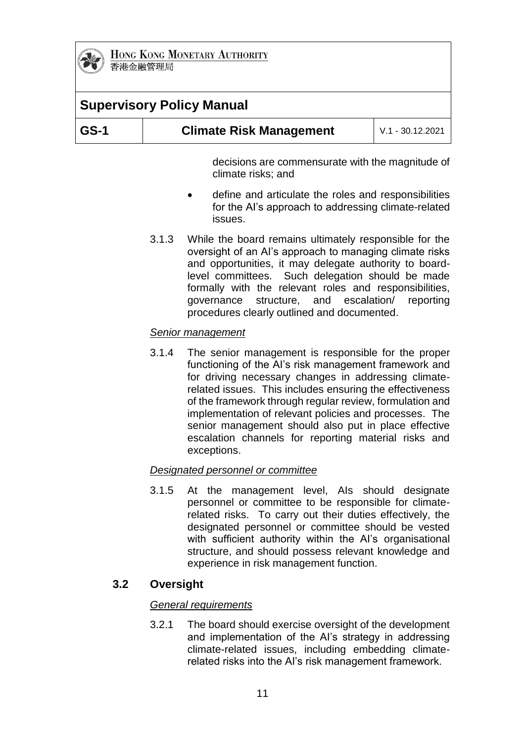

# **Supervisory Policy Manual**

| GS-1 | <b>Climate Risk Management</b> | l V.1 - 30.12.2021 l |
|------|--------------------------------|----------------------|
|------|--------------------------------|----------------------|

decisions are commensurate with the magnitude of climate risks; and

- define and articulate the roles and responsibilities for the AI's approach to addressing climate-related issues.
- 3.1.3 While the board remains ultimately responsible for the oversight of an AI's approach to managing climate risks and opportunities, it may delegate authority to boardlevel committees. Such delegation should be made formally with the relevant roles and responsibilities, governance structure, and escalation/ reporting procedures clearly outlined and documented.

#### *Senior management*

3.1.4 The senior management is responsible for the proper functioning of the AI's risk management framework and for driving necessary changes in addressing climaterelated issues. This includes ensuring the effectiveness of the framework through regular review, formulation and implementation of relevant policies and processes. The senior management should also put in place effective escalation channels for reporting material risks and exceptions.

#### *Designated personnel or committee*

3.1.5 At the management level, AIs should designate personnel or committee to be responsible for climaterelated risks. To carry out their duties effectively, the designated personnel or committee should be vested with sufficient authority within the AI's organisational structure, and should possess relevant knowledge and experience in risk management function.

### **3.2 Oversight**

#### *General requirements*

3.2.1 The board should exercise oversight of the development and implementation of the AI's strategy in addressing climate-related issues, including embedding climaterelated risks into the AI's risk management framework.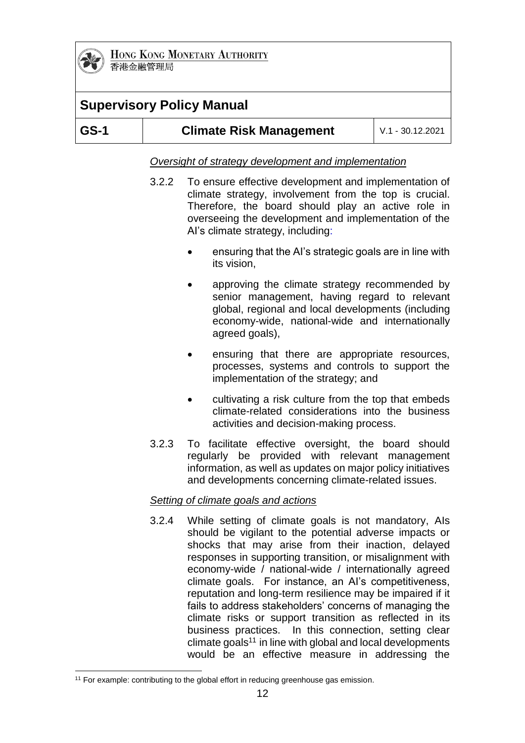

# **Supervisory Policy Manual**

| $ GS-1 $<br><b>Climate Risk Management</b> | $V.1 - 30.12.2021$ |
|--------------------------------------------|--------------------|
|--------------------------------------------|--------------------|

*Oversight of strategy development and implementation*

- 3.2.2 To ensure effective development and implementation of climate strategy, involvement from the top is crucial. Therefore, the board should play an active role in overseeing the development and implementation of the AI's climate strategy, including:
	- ensuring that the AI's strategic goals are in line with its vision,
	- approving the climate strategy recommended by senior management, having regard to relevant global, regional and local developments (including economy-wide, national-wide and internationally agreed goals),
	- ensuring that there are appropriate resources, processes, systems and controls to support the implementation of the strategy; and
	- cultivating a risk culture from the top that embeds climate-related considerations into the business activities and decision-making process.
- 3.2.3 To facilitate effective oversight, the board should regularly be provided with relevant management information, as well as updates on major policy initiatives and developments concerning climate-related issues.

### *Setting of climate goals and actions*

3.2.4 While setting of climate goals is not mandatory, AIs should be vigilant to the potential adverse impacts or shocks that may arise from their inaction, delayed responses in supporting transition, or misalignment with economy-wide / national-wide / internationally agreed climate goals. For instance, an AI's competitiveness, reputation and long-term resilience may be impaired if it fails to address stakeholders' concerns of managing the climate risks or support transition as reflected in its business practices. In this connection, setting clear  $climate$  goals<sup>11</sup> in line with global and local developments would be an effective measure in addressing the

<sup>1</sup> <sup>11</sup> For example: contributing to the global effort in reducing greenhouse gas emission.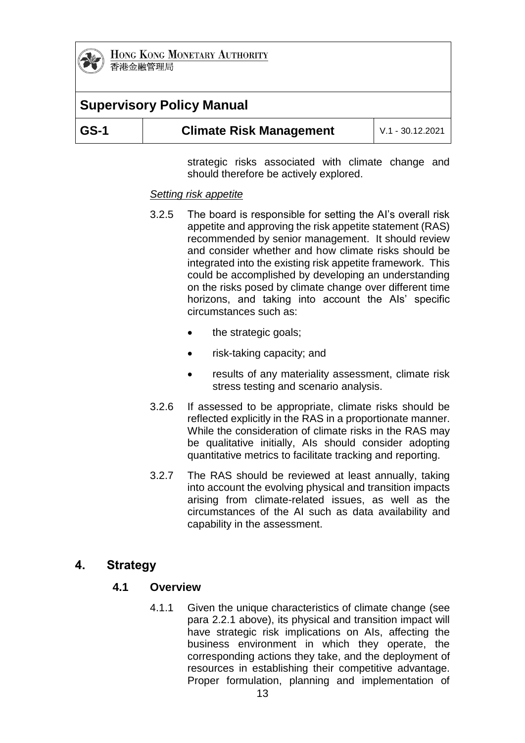

# **Supervisory Policy Manual**

| GS-1<br><b>Climate Risk Management</b><br>$\mid$ V.1 - 30.12.2021 |  |  |  |
|-------------------------------------------------------------------|--|--|--|
|-------------------------------------------------------------------|--|--|--|

strategic risks associated with climate change and should therefore be actively explored.

#### *Setting risk appetite*

- 3.2.5 The board is responsible for setting the AI's overall risk appetite and approving the risk appetite statement (RAS) recommended by senior management. It should review and consider whether and how climate risks should be integrated into the existing risk appetite framework. This could be accomplished by developing an understanding on the risks posed by climate change over different time horizons, and taking into account the AIs' specific circumstances such as:
	- the strategic goals;
	- risk-taking capacity; and
	- results of any materiality assessment, climate risk stress testing and scenario analysis.
- 3.2.6 If assessed to be appropriate, climate risks should be reflected explicitly in the RAS in a proportionate manner. While the consideration of climate risks in the RAS may be qualitative initially, AIs should consider adopting quantitative metrics to facilitate tracking and reporting.
- 3.2.7 The RAS should be reviewed at least annually, taking into account the evolving physical and transition impacts arising from climate-related issues, as well as the circumstances of the AI such as data availability and capability in the assessment.

# **4. Strategy**

### **4.1 Overview**

4.1.1 Given the unique characteristics of climate change (see para 2.2.1 above), its physical and transition impact will have strategic risk implications on AIs, affecting the business environment in which they operate, the corresponding actions they take, and the deployment of resources in establishing their competitive advantage. Proper formulation, planning and implementation of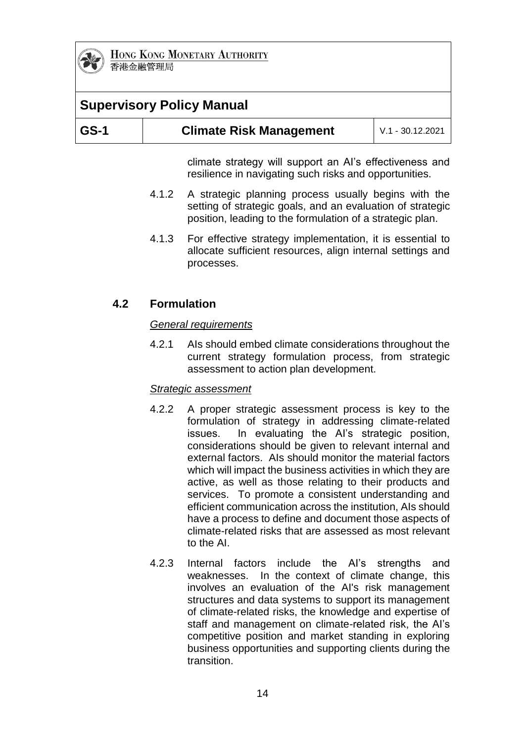

# **Supervisory Policy Manual**

| $ GS-1 $ | <b>Climate Risk Management</b> | l V.1 - 30.12.2021 l |  |
|----------|--------------------------------|----------------------|--|
|          |                                |                      |  |

climate strategy will support an AI's effectiveness and resilience in navigating such risks and opportunities.

- 4.1.2 A strategic planning process usually begins with the setting of strategic goals, and an evaluation of strategic position, leading to the formulation of a strategic plan.
- 4.1.3 For effective strategy implementation, it is essential to allocate sufficient resources, align internal settings and processes.

### **4.2 Formulation**

#### *General requirements*

4.2.1 AIs should embed climate considerations throughout the current strategy formulation process, from strategic assessment to action plan development.

#### *Strategic assessment*

- 4.2.2 A proper strategic assessment process is key to the formulation of strategy in addressing climate-related issues. In evaluating the AI's strategic position, considerations should be given to relevant internal and external factors. AIs should monitor the material factors which will impact the business activities in which they are active, as well as those relating to their products and services. To promote a consistent understanding and efficient communication across the institution, AIs should have a process to define and document those aspects of climate-related risks that are assessed as most relevant to the AI.
- 4.2.3 Internal factors include the AI's strengths and weaknesses. In the context of climate change, this involves an evaluation of the AI's risk management structures and data systems to support its management of climate-related risks, the knowledge and expertise of staff and management on climate-related risk, the AI's competitive position and market standing in exploring business opportunities and supporting clients during the transition.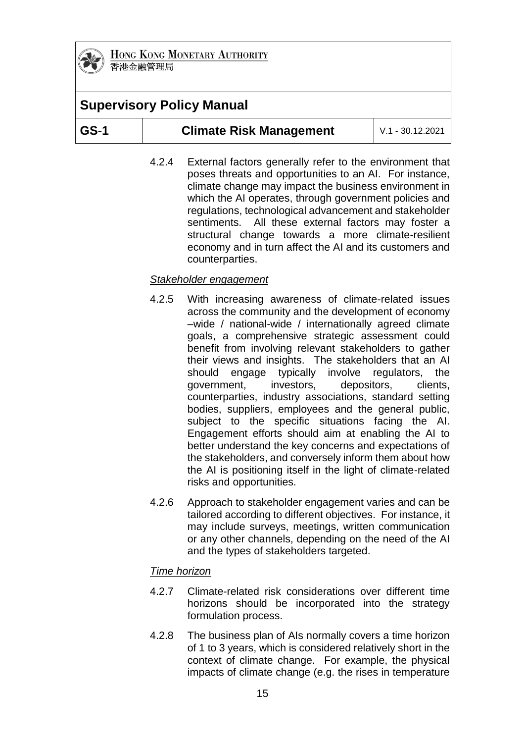

# **Supervisory Policy Manual**

| GS-1 |
|------|
|------|

4.2.4 External factors generally refer to the environment that poses threats and opportunities to an AI. For instance, climate change may impact the business environment in which the AI operates, through government policies and regulations, technological advancement and stakeholder sentiments. All these external factors may foster a structural change towards a more climate-resilient economy and in turn affect the AI and its customers and counterparties.

### *Stakeholder engagement*

- 4.2.5 With increasing awareness of climate-related issues across the community and the development of economy –wide / national-wide / internationally agreed climate goals, a comprehensive strategic assessment could benefit from involving relevant stakeholders to gather their views and insights. The stakeholders that an AI should engage typically involve regulators, the government, investors, depositors, clients, counterparties, industry associations, standard setting bodies, suppliers, employees and the general public, subject to the specific situations facing the AI. Engagement efforts should aim at enabling the AI to better understand the key concerns and expectations of the stakeholders, and conversely inform them about how the AI is positioning itself in the light of climate-related risks and opportunities.
- 4.2.6 Approach to stakeholder engagement varies and can be tailored according to different objectives. For instance, it may include surveys, meetings, written communication or any other channels, depending on the need of the AI and the types of stakeholders targeted.

#### *Time horizon*

- 4.2.7 Climate-related risk considerations over different time horizons should be incorporated into the strategy formulation process.
- 4.2.8 The business plan of AIs normally covers a time horizon of 1 to 3 years, which is considered relatively short in the context of climate change. For example, the physical impacts of climate change (e.g. the rises in temperature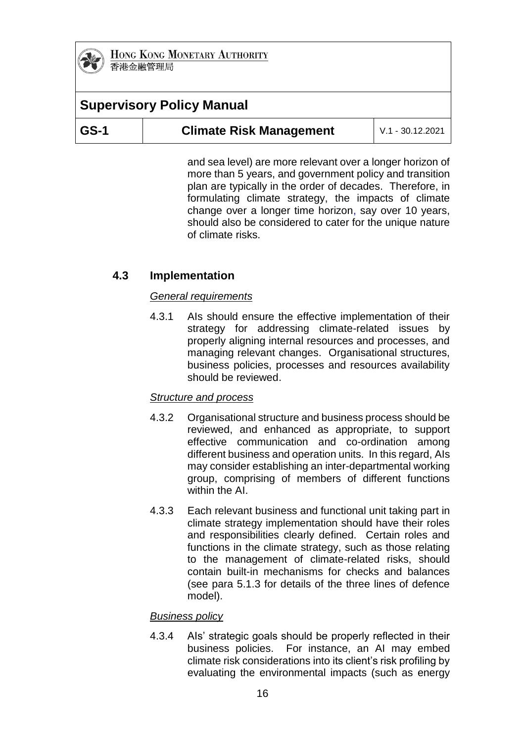

# **Supervisory Policy Manual**

| $ GS-1 $ | <b>Climate Risk Management</b> | $V.1 - 30.12.2021$ |
|----------|--------------------------------|--------------------|
|----------|--------------------------------|--------------------|

and sea level) are more relevant over a longer horizon of more than 5 years, and government policy and transition plan are typically in the order of decades. Therefore, in formulating climate strategy, the impacts of climate change over a longer time horizon, say over 10 years, should also be considered to cater for the unique nature of climate risks.

### **4.3 Implementation**

### *General requirements*

4.3.1 AIs should ensure the effective implementation of their strategy for addressing climate-related issues by properly aligning internal resources and processes, and managing relevant changes. Organisational structures, business policies, processes and resources availability should be reviewed.

### *Structure and process*

- 4.3.2 Organisational structure and business process should be reviewed, and enhanced as appropriate, to support effective communication and co-ordination among different business and operation units. In this regard, AIs may consider establishing an inter-departmental working group, comprising of members of different functions within the AI.
- 4.3.3 Each relevant business and functional unit taking part in climate strategy implementation should have their roles and responsibilities clearly defined. Certain roles and functions in the climate strategy, such as those relating to the management of climate-related risks, should contain built-in mechanisms for checks and balances (see para 5.1.3 for details of the three lines of defence model).

### *Business policy*

4.3.4 AIs' strategic goals should be properly reflected in their business policies. For instance, an AI may embed climate risk considerations into its client's risk profiling by evaluating the environmental impacts (such as energy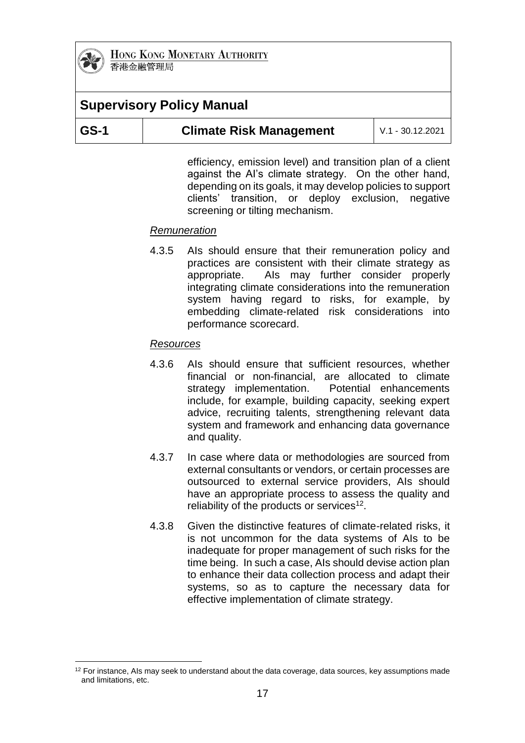

1

HONG KONG MONETARY AUTHORITY 香港金融管理局

# **Supervisory Policy Manual**

| GS-1 | <b>Climate Risk Management</b> | $\mid$ V.1 - 30.12.2021 |
|------|--------------------------------|-------------------------|
|------|--------------------------------|-------------------------|

efficiency, emission level) and transition plan of a client against the AI's climate strategy. On the other hand, depending on its goals, it may develop policies to support clients' transition, or deploy exclusion, negative screening or tilting mechanism.

### *Remuneration*

4.3.5 AIs should ensure that their remuneration policy and practices are consistent with their climate strategy as appropriate. AIs may further consider properly integrating climate considerations into the remuneration system having regard to risks, for example, by embedding climate-related risk considerations into performance scorecard.

### *Resources*

- 4.3.6 AIs should ensure that sufficient resources, whether financial or non-financial, are allocated to climate strategy implementation. Potential enhancements include, for example, building capacity, seeking expert advice, recruiting talents, strengthening relevant data system and framework and enhancing data governance and quality.
- 4.3.7 In case where data or methodologies are sourced from external consultants or vendors, or certain processes are outsourced to external service providers, AIs should have an appropriate process to assess the quality and reliability of the products or services<sup>12</sup>.
- 4.3.8 Given the distinctive features of climate-related risks, it is not uncommon for the data systems of AIs to be inadequate for proper management of such risks for the time being. In such a case, AIs should devise action plan to enhance their data collection process and adapt their systems, so as to capture the necessary data for effective implementation of climate strategy.

 $12$  For instance, AIs may seek to understand about the data coverage, data sources, key assumptions made and limitations, etc.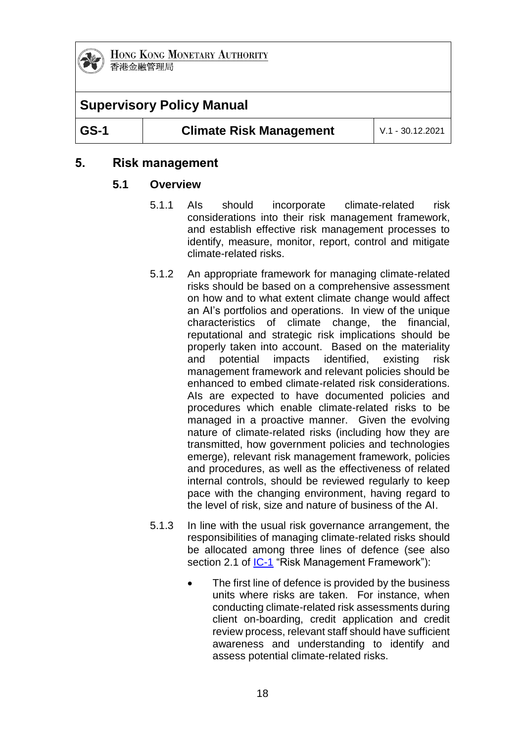

# **Supervisory Policy Manual**

**GS-1 Climate Risk Management** V.1 - 30.12.2021

# **5. Risk management**

### **5.1 Overview**

- 5.1.1 AIs should incorporate climate-related risk considerations into their risk management framework, and establish effective risk management processes to identify, measure, monitor, report, control and mitigate climate-related risks.
- 5.1.2 An appropriate framework for managing climate-related risks should be based on a comprehensive assessment on how and to what extent climate change would affect an AI's portfolios and operations. In view of the unique characteristics of climate change, the financial, reputational and strategic risk implications should be properly taken into account. Based on the materiality and potential impacts identified, existing risk management framework and relevant policies should be enhanced to embed climate-related risk considerations. AIs are expected to have documented policies and procedures which enable climate-related risks to be managed in a proactive manner. Given the evolving nature of climate-related risks (including how they are transmitted, how government policies and technologies emerge), relevant risk management framework, policies and procedures, as well as the effectiveness of related internal controls, should be reviewed regularly to keep pace with the changing environment, having regard to the level of risk, size and nature of business of the AI.
- 5.1.3 In line with the usual risk governance arrangement, the responsibilities of managing climate-related risks should be allocated among three lines of defence (see also section 2.1 of [IC-1](https://www.hkma.gov.hk/media/eng/doc/key-functions/banking-stability/supervisory-policy-manual/IC-1.pdf) "Risk Management Framework"):
	- The first line of defence is provided by the business units where risks are taken. For instance, when conducting climate-related risk assessments during client on-boarding, credit application and credit review process, relevant staff should have sufficient awareness and understanding to identify and assess potential climate-related risks.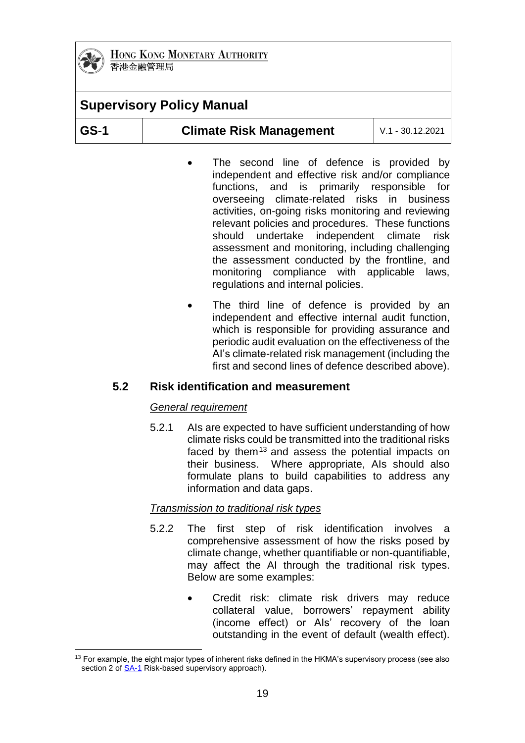

# **Supervisory Policy Manual GS-1 Climate Risk Management** V.1 - 30.12.2021

- The second line of defence is provided by independent and effective risk and/or compliance functions, and is primarily responsible for overseeing climate-related risks in business activities, on-going risks monitoring and reviewing relevant policies and procedures. These functions should undertake independent climate risk assessment and monitoring, including challenging the assessment conducted by the frontline, and monitoring compliance with applicable laws, regulations and internal policies.
- The third line of defence is provided by an independent and effective internal audit function, which is responsible for providing assurance and periodic audit evaluation on the effectiveness of the AI's climate-related risk management (including the first and second lines of defence described above).

# **5.2 Risk identification and measurement**

### *General requirement*

5.2.1 AIs are expected to have sufficient understanding of how climate risks could be transmitted into the traditional risks faced by them<sup>13</sup> and assess the potential impacts on their business. Where appropriate, AIs should also formulate plans to build capabilities to address any information and data gaps.

### *Transmission to traditional risk types*

- 5.2.2 The first step of risk identification involves a comprehensive assessment of how the risks posed by climate change, whether quantifiable or non-quantifiable, may affect the AI through the traditional risk types. Below are some examples:
	- Credit risk: climate risk drivers may reduce collateral value, borrowers' repayment ability (income effect) or AIs' recovery of the loan outstanding in the event of default (wealth effect).

<sup>&</sup>lt;u>.</u>  $13$  For example, the eight major types of inherent risks defined in the HKMA's supervisory process (see also section 2 of **SA-1** Risk-based supervisory approach).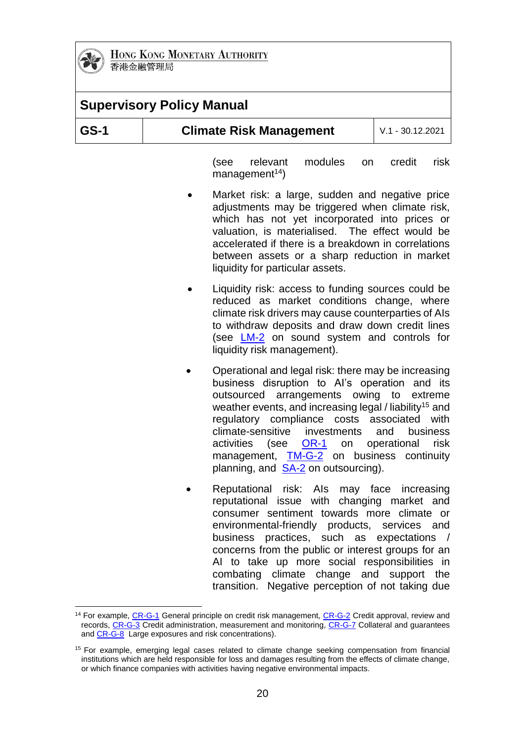

1

HONG KONG MONETARY AUTHORITY 香港金融管理局

|      | <b>Supervisory Policy Manual</b>                                                                                                                                                                                                                                                                                                                   |
|------|----------------------------------------------------------------------------------------------------------------------------------------------------------------------------------------------------------------------------------------------------------------------------------------------------------------------------------------------------|
| GS-1 | <b>Climate Risk Management</b><br>$V.1 - 30.12.2021$                                                                                                                                                                                                                                                                                               |
|      | modules<br>(see<br>relevant<br>credit<br>risk<br>on<br>management <sup>14</sup> )                                                                                                                                                                                                                                                                  |
|      | Market risk: a large, sudden and negative price<br>adjustments may be triggered when climate risk,<br>which has not yet incorporated into prices or<br>valuation, is materialised. The effect would be<br>accelerated if there is a breakdown in correlations<br>between assets or a sharp reduction in market<br>liquidity for particular assets. |
|      | Liquidity risk: access to funding sources could be<br>reduced as market conditions change, where<br>climate risk drivers may cause counterparties of Als<br>to withdraw deposits and draw down credit lines<br>(see <b>LM-2</b> on sound system and controls for<br>liquidity risk management).                                                    |
|      | Operational and legal risk: there may be increasing<br>business disruption to Al's operation and its<br>outsourced arrangements owing to extreme<br>weather events, and increasing legal / liability <sup>15</sup> and                                                                                                                             |

- rents, and increasing legal / liability regulatory compliance costs associated with climate-sensitive investments and business activities (see [OR-1](https://www.hkma.gov.hk/media/eng/doc/key-functions/banking-stability/supervisory-policy-manual/OR-1.pdf) on operational risk management, **[TM-G-2](https://www.hkma.gov.hk/media/eng/doc/key-functions/banking-stability/supervisory-policy-manual/TM-G-2.pdf)** on business continuity planning, and [SA-2](https://www.hkma.gov.hk/media/eng/doc/key-functions/banking-stability/supervisory-policy-manual/SA-2.pdf) on outsourcing).
- Reputational risk: AIs may face increasing reputational issue with changing market and consumer sentiment towards more climate or environmental-friendly products, services and business practices, such as expectations / concerns from the public or interest groups for an AI to take up more social responsibilities in combating climate change and support the transition. Negative perception of not taking due

<sup>&</sup>lt;sup>14</sup> For example[, CR-G-1](https://www.hkma.gov.hk/media/eng/doc/key-functions/banking-stability/supervisory-policy-manual/CR-G-1.pdf) General principle on credit risk management, [CR-G-2](https://www.hkma.gov.hk/media/eng/doc/key-functions/banking-stability/supervisory-policy-manual/CR-G-2.pdf) Credit approval, review and records, [CR-G-3](https://www.hkma.gov.hk/media/eng/doc/key-functions/banking-stability/supervisory-policy-manual/CR-G-3.pdf) Credit administration, measurement and monitoring, [CR-G-7](https://www.hkma.gov.hk/media/eng/doc/key-functions/banking-stability/supervisory-policy-manual/CR-G-7.pdf) Collateral and guarantees an[d CR-G-8](https://www.hkma.gov.hk/media/eng/doc/key-functions/banking-stability/supervisory-policy-manual/CR-G-8.pdf) Large exposures and risk concentrations).

<sup>&</sup>lt;sup>15</sup> For example, emerging legal cases related to climate change seeking compensation from financial institutions which are held responsible for loss and damages resulting from the effects of climate change, or which finance companies with activities having negative environmental impacts.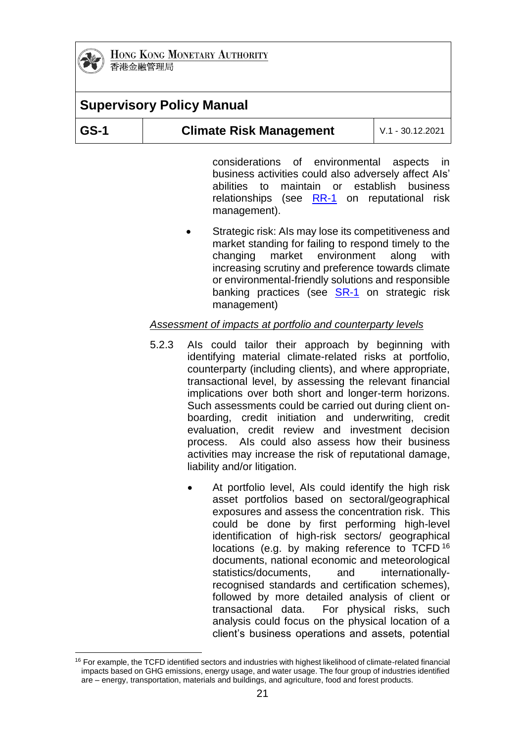

# **Supervisory Policy Manual**

| GS-1 | <b>Climate Risk Management</b> | L V.1 - 30.12.2021 |
|------|--------------------------------|--------------------|
|------|--------------------------------|--------------------|

considerations of environmental aspects in business activities could also adversely affect AIs' abilities to maintain or establish business relationships (see [RR-1](https://www.hkma.gov.hk/media/eng/doc/key-functions/banking-stability/supervisory-policy-manual/RR-1.pdf) on reputational risk management).

 Strategic risk: AIs may lose its competitiveness and market standing for failing to respond timely to the changing market environment along with increasing scrutiny and preference towards climate or environmental-friendly solutions and responsible banking practices (see [SR-1](https://www.hkma.gov.hk/media/eng/doc/key-functions/banking-stability/supervisory-policy-manual/SR-1.pdf) on strategic risk management)

#### *Assessment of impacts at portfolio and counterparty levels*

- 5.2.3 AIs could tailor their approach by beginning with identifying material climate-related risks at portfolio, counterparty (including clients), and where appropriate, transactional level, by assessing the relevant financial implications over both short and longer-term horizons. Such assessments could be carried out during client onboarding, credit initiation and underwriting, credit evaluation, credit review and investment decision process. AIs could also assess how their business activities may increase the risk of reputational damage, liability and/or litigation.
	- At portfolio level, AIs could identify the high risk asset portfolios based on sectoral/geographical exposures and assess the concentration risk. This could be done by first performing high-level identification of high-risk sectors/ geographical locations (e.g. by making reference to TCFD <sup>16</sup> documents, national economic and meteorological statistics/documents, and internationallyrecognised standards and certification schemes), followed by more detailed analysis of client or transactional data. For physical risks, such analysis could focus on the physical location of a client's business operations and assets, potential

<sup>1</sup> <sup>16</sup> For example, the TCFD identified sectors and industries with highest likelihood of climate-related financial impacts based on GHG emissions, energy usage, and water usage. The four group of industries identified are – energy, transportation, materials and buildings, and agriculture, food and forest products.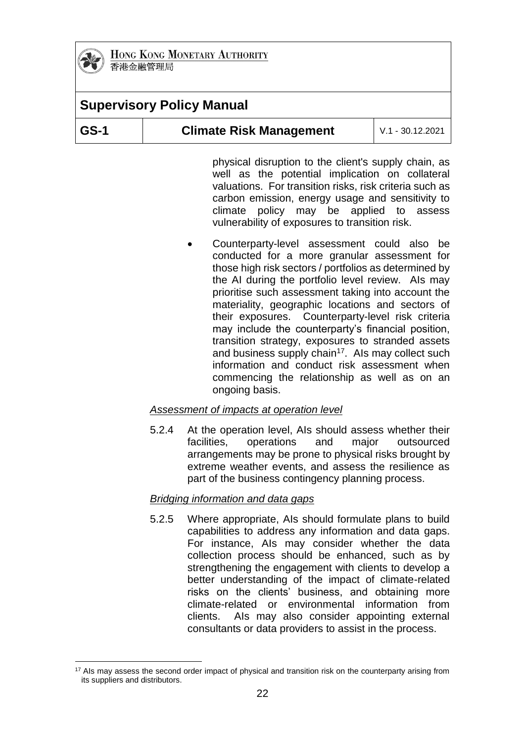

1

HONG KONG MONETARY AUTHORITY 香港金融管理局

|      | <b>Supervisory Policy Manual</b> |                  |
|------|----------------------------------|------------------|
| GS-1 | <b>Climate Risk Management</b>   | V.1 - 30.12.2021 |
|      |                                  |                  |

physical disruption to the client's supply chain, as well as the potential implication on collateral valuations. For transition risks, risk criteria such as carbon emission, energy usage and sensitivity to climate policy may be applied to assess vulnerability of exposures to transition risk.

 Counterparty-level assessment could also be conducted for a more granular assessment for those high risk sectors / portfolios as determined by the AI during the portfolio level review. AIs may prioritise such assessment taking into account the materiality, geographic locations and sectors of their exposures. Counterparty-level risk criteria may include the counterparty's financial position, transition strategy, exposures to stranded assets and business supply chain<sup>17</sup>. Als may collect such information and conduct risk assessment when commencing the relationship as well as on an ongoing basis.

#### *Assessment of impacts at operation level*

5.2.4 At the operation level, AIs should assess whether their facilities, operations and major outsourced arrangements may be prone to physical risks brought by extreme weather events, and assess the resilience as part of the business contingency planning process.

#### *Bridging information and data gaps*

5.2.5 Where appropriate, AIs should formulate plans to build capabilities to address any information and data gaps. For instance, AIs may consider whether the data collection process should be enhanced, such as by strengthening the engagement with clients to develop a better understanding of the impact of climate-related risks on the clients' business, and obtaining more climate-related or environmental information from clients. AIs may also consider appointing external consultants or data providers to assist in the process.

<sup>&</sup>lt;sup>17</sup> AIs may assess the second order impact of physical and transition risk on the counterparty arising from its suppliers and distributors.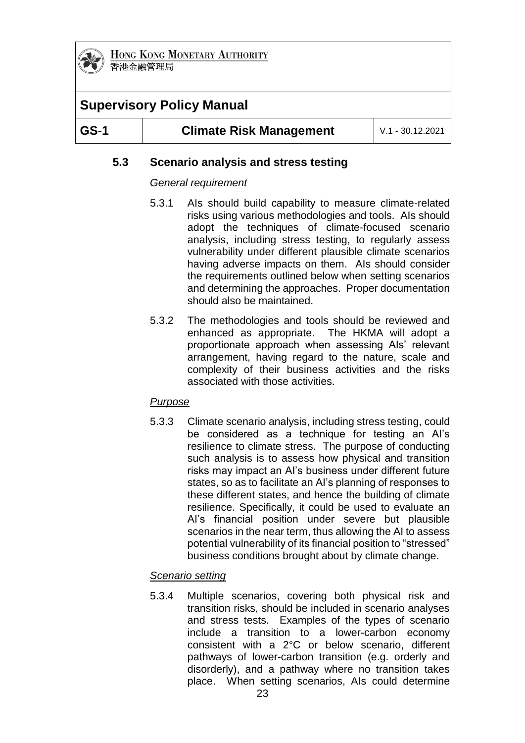

# **Supervisory Policy Manual**

|--|

# **5.3 Scenario analysis and stress testing**

### *General requirement*

- 5.3.1 AIs should build capability to measure climate-related risks using various methodologies and tools. AIs should adopt the techniques of climate-focused scenario analysis, including stress testing, to regularly assess vulnerability under different plausible climate scenarios having adverse impacts on them. AIs should consider the requirements outlined below when setting scenarios and determining the approaches. Proper documentation should also be maintained.
- 5.3.2 The methodologies and tools should be reviewed and enhanced as appropriate. The HKMA will adopt a proportionate approach when assessing AIs' relevant arrangement, having regard to the nature, scale and complexity of their business activities and the risks associated with those activities.

### *Purpose*

5.3.3 Climate scenario analysis, including stress testing, could be considered as a technique for testing an AI's resilience to climate stress. The purpose of conducting such analysis is to assess how physical and transition risks may impact an AI's business under different future states, so as to facilitate an AI's planning of responses to these different states, and hence the building of climate resilience. Specifically, it could be used to evaluate an AI's financial position under severe but plausible scenarios in the near term, thus allowing the AI to assess potential vulnerability of its financial position to "stressed" business conditions brought about by climate change.

### *Scenario setting*

5.3.4 Multiple scenarios, covering both physical risk and transition risks, should be included in scenario analyses and stress tests. Examples of the types of scenario include a transition to a lower-carbon economy consistent with a 2°C or below scenario, different pathways of lower-carbon transition (e.g. orderly and disorderly), and a pathway where no transition takes place. When setting scenarios, AIs could determine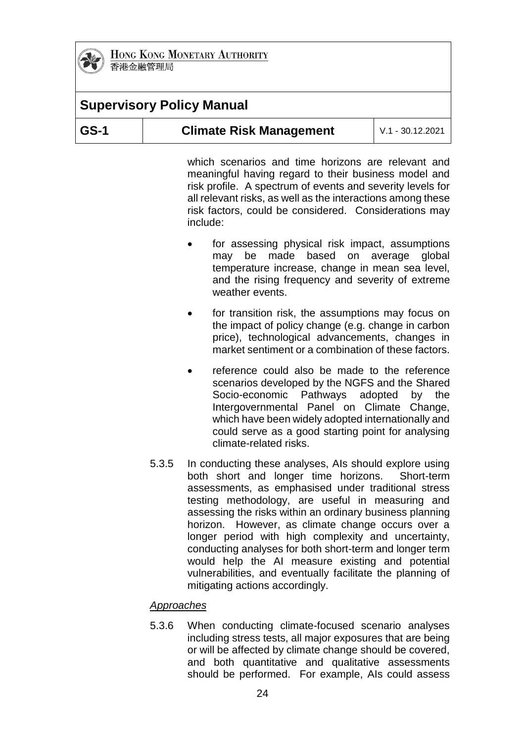

|             | <b>Supervisory Policy Manual</b> |                    |
|-------------|----------------------------------|--------------------|
| <b>GS-1</b> | <b>Climate Risk Management</b>   | $V.1 - 30.12.2021$ |

which scenarios and time horizons are relevant and meaningful having regard to their business model and risk profile. A spectrum of events and severity levels for all relevant risks, as well as the interactions among these risk factors, could be considered. Considerations may include:

- for assessing physical risk impact, assumptions may be made based on average global temperature increase, change in mean sea level, and the rising frequency and severity of extreme weather events.
- for transition risk, the assumptions may focus on the impact of policy change (e.g. change in carbon price), technological advancements, changes in market sentiment or a combination of these factors.
- reference could also be made to the reference scenarios developed by the NGFS and the Shared Socio-economic Pathways adopted by the Intergovernmental Panel on Climate Change, which have been widely adopted internationally and could serve as a good starting point for analysing climate-related risks.
- 5.3.5 In conducting these analyses, AIs should explore using both short and longer time horizons. Short-term assessments, as emphasised under traditional stress testing methodology, are useful in measuring and assessing the risks within an ordinary business planning horizon. However, as climate change occurs over a longer period with high complexity and uncertainty, conducting analyses for both short-term and longer term would help the AI measure existing and potential vulnerabilities, and eventually facilitate the planning of mitigating actions accordingly.

#### *Approaches*

5.3.6 When conducting climate-focused scenario analyses including stress tests, all major exposures that are being or will be affected by climate change should be covered, and both quantitative and qualitative assessments should be performed. For example, AIs could assess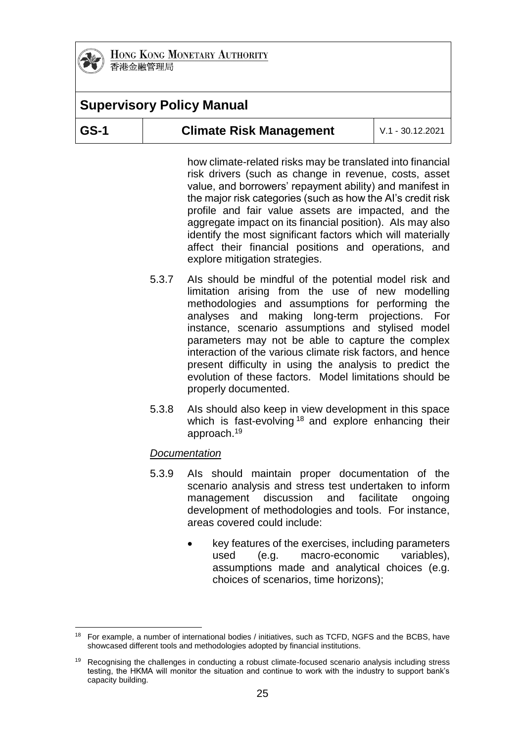

1

HONG KONG MONETARY AUTHORITY 香港金融管理局

# **Supervisory Policy Manual**

| GS-1<br><b>Climate Risk Management</b> | $\mid$ V.1 - 30.12.2021 |
|----------------------------------------|-------------------------|
|----------------------------------------|-------------------------|

how climate-related risks may be translated into financial risk drivers (such as change in revenue, costs, asset value, and borrowers' repayment ability) and manifest in the major risk categories (such as how the AI's credit risk profile and fair value assets are impacted, and the aggregate impact on its financial position). AIs may also identify the most significant factors which will materially affect their financial positions and operations, and explore mitigation strategies.

- 5.3.7 AIs should be mindful of the potential model risk and limitation arising from the use of new modelling methodologies and assumptions for performing the analyses and making long-term projections. For instance, scenario assumptions and stylised model parameters may not be able to capture the complex interaction of the various climate risk factors, and hence present difficulty in using the analysis to predict the evolution of these factors. Model limitations should be properly documented.
- 5.3.8 AIs should also keep in view development in this space which is fast-evolving<sup>18</sup> and explore enhancing their approach.<sup>19</sup>

#### *Documentation*

- 5.3.9 AIs should maintain proper documentation of the scenario analysis and stress test undertaken to inform management discussion and facilitate ongoing development of methodologies and tools. For instance, areas covered could include:
	- key features of the exercises, including parameters used (e.g. macro-economic variables), assumptions made and analytical choices (e.g. choices of scenarios, time horizons);

<sup>&</sup>lt;sup>18</sup> For example, a number of international bodies / initiatives, such as TCFD, NGFS and the BCBS, have showcased different tools and methodologies adopted by financial institutions.

<sup>19</sup> Recognising the challenges in conducting a robust climate-focused scenario analysis including stress testing, the HKMA will monitor the situation and continue to work with the industry to support bank's capacity building.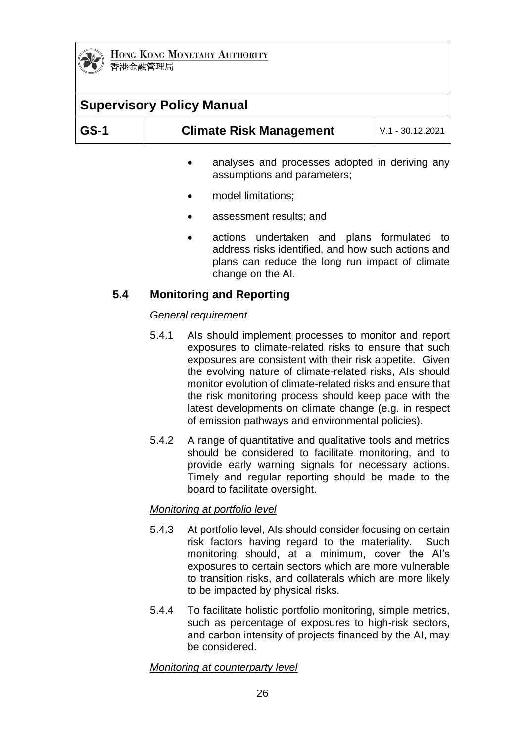

| <b>Supervisory Policy Manual</b> |           |                                                                               |                    |
|----------------------------------|-----------|-------------------------------------------------------------------------------|--------------------|
| <b>GS-1</b>                      |           | <b>Climate Risk Management</b>                                                | $V.1 - 30.12.2021$ |
|                                  | $\bullet$ | analyses and processes adopted in deriving any<br>assumptions and parameters; |                    |
|                                  |           | model limitations;                                                            |                    |

- assessment results; and
- actions undertaken and plans formulated to address risks identified, and how such actions and plans can reduce the long run impact of climate change on the AI.

### **5.4 Monitoring and Reporting**

### *General requirement*

- 5.4.1 AIs should implement processes to monitor and report exposures to climate-related risks to ensure that such exposures are consistent with their risk appetite. Given the evolving nature of climate-related risks, AIs should monitor evolution of climate-related risks and ensure that the risk monitoring process should keep pace with the latest developments on climate change (e.g. in respect of emission pathways and environmental policies).
- 5.4.2 A range of quantitative and qualitative tools and metrics should be considered to facilitate monitoring, and to provide early warning signals for necessary actions. Timely and regular reporting should be made to the board to facilitate oversight.

#### *Monitoring at portfolio level*

- 5.4.3 At portfolio level, AIs should consider focusing on certain risk factors having regard to the materiality. Such monitoring should, at a minimum, cover the AI's exposures to certain sectors which are more vulnerable to transition risks, and collaterals which are more likely to be impacted by physical risks.
- 5.4.4 To facilitate holistic portfolio monitoring, simple metrics, such as percentage of exposures to high-risk sectors, and carbon intensity of projects financed by the AI, may be considered.

#### *Monitoring at counterparty level*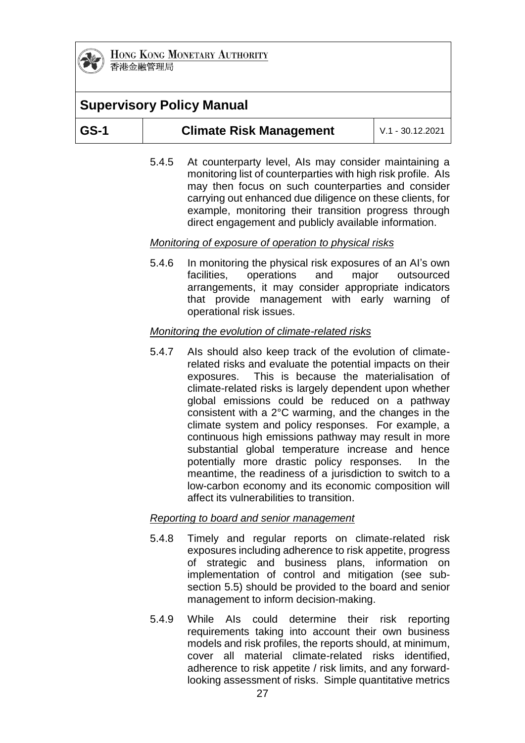

# **Supervisory Policy Manual**

| GS-1<br><b>Climate Risk Management</b> | $\mid$ V.1 - 30.12.2021 |
|----------------------------------------|-------------------------|
|----------------------------------------|-------------------------|

5.4.5 At counterparty level, AIs may consider maintaining a monitoring list of counterparties with high risk profile. AIs may then focus on such counterparties and consider carrying out enhanced due diligence on these clients, for example, monitoring their transition progress through direct engagement and publicly available information.

### *Monitoring of exposure of operation to physical risks*

5.4.6 In monitoring the physical risk exposures of an AI's own facilities, operations and major outsourced arrangements, it may consider appropriate indicators that provide management with early warning of operational risk issues.

#### *Monitoring the evolution of climate-related risks*

5.4.7 AIs should also keep track of the evolution of climaterelated risks and evaluate the potential impacts on their exposures. This is because the materialisation of climate-related risks is largely dependent upon whether global emissions could be reduced on a pathway consistent with a 2°C warming, and the changes in the climate system and policy responses. For example, a continuous high emissions pathway may result in more substantial global temperature increase and hence potentially more drastic policy responses. In the meantime, the readiness of a jurisdiction to switch to a low-carbon economy and its economic composition will affect its vulnerabilities to transition.

#### *Reporting to board and senior management*

- 5.4.8 Timely and regular reports on climate-related risk exposures including adherence to risk appetite, progress of strategic and business plans, information on implementation of control and mitigation (see subsection 5.5) should be provided to the board and senior management to inform decision-making.
- 5.4.9 While AIs could determine their risk reporting requirements taking into account their own business models and risk profiles, the reports should, at minimum, cover all material climate-related risks identified, adherence to risk appetite / risk limits, and any forwardlooking assessment of risks. Simple quantitative metrics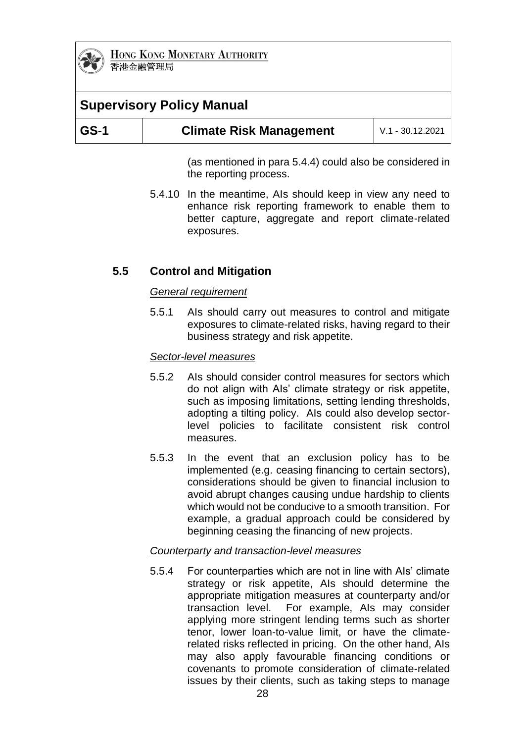

# **Supervisory Policy Manual**

| $\overline{\text{GS-1}}$<br><b>Climate Risk Management</b><br>$V.1 - 30.12.2021$ |
|----------------------------------------------------------------------------------|
|----------------------------------------------------------------------------------|

(as mentioned in para 5.4.4) could also be considered in the reporting process.

5.4.10 In the meantime, AIs should keep in view any need to enhance risk reporting framework to enable them to better capture, aggregate and report climate-related exposures.

### **5.5 Control and Mitigation**

#### *General requirement*

5.5.1 AIs should carry out measures to control and mitigate exposures to climate-related risks, having regard to their business strategy and risk appetite.

#### *Sector-level measures*

- 5.5.2 AIs should consider control measures for sectors which do not align with AIs' climate strategy or risk appetite, such as imposing limitations, setting lending thresholds, adopting a tilting policy. AIs could also develop sectorlevel policies to facilitate consistent risk control measures.
- 5.5.3 In the event that an exclusion policy has to be implemented (e.g. ceasing financing to certain sectors), considerations should be given to financial inclusion to avoid abrupt changes causing undue hardship to clients which would not be conducive to a smooth transition. For example, a gradual approach could be considered by beginning ceasing the financing of new projects.

#### *Counterparty and transaction-level measures*

5.5.4 For counterparties which are not in line with AIs' climate strategy or risk appetite, AIs should determine the appropriate mitigation measures at counterparty and/or transaction level. For example, AIs may consider applying more stringent lending terms such as shorter tenor, lower loan-to-value limit, or have the climaterelated risks reflected in pricing. On the other hand, AIs may also apply favourable financing conditions or covenants to promote consideration of climate-related issues by their clients, such as taking steps to manage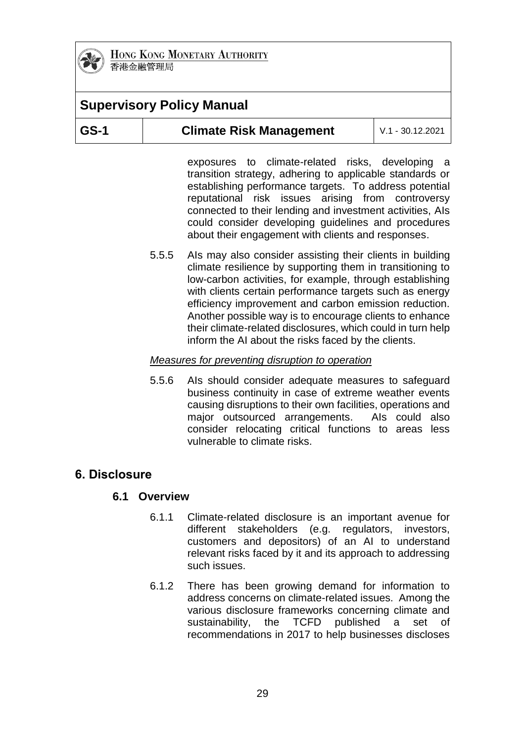

# **Supervisory Policy Manual**

exposures to climate-related risks, developing a transition strategy, adhering to applicable standards or establishing performance targets. To address potential reputational risk issues arising from controversy connected to their lending and investment activities, AIs could consider developing guidelines and procedures about their engagement with clients and responses.

5.5.5 AIs may also consider assisting their clients in building climate resilience by supporting them in transitioning to low-carbon activities, for example, through establishing with clients certain performance targets such as energy efficiency improvement and carbon emission reduction. Another possible way is to encourage clients to enhance their climate-related disclosures, which could in turn help inform the AI about the risks faced by the clients.

### *Measures for preventing disruption to operation*

5.5.6 AIs should consider adequate measures to safeguard business continuity in case of extreme weather events causing disruptions to their own facilities, operations and major outsourced arrangements. AIs could also consider relocating critical functions to areas less vulnerable to climate risks.

# **6. Disclosure**

### **6.1 Overview**

- 6.1.1 Climate-related disclosure is an important avenue for different stakeholders (e.g. regulators, investors, customers and depositors) of an AI to understand relevant risks faced by it and its approach to addressing such issues.
- 6.1.2 There has been growing demand for information to address concerns on climate-related issues. Among the various disclosure frameworks concerning climate and sustainability, the TCFD published a set of recommendations in 2017 to help businesses discloses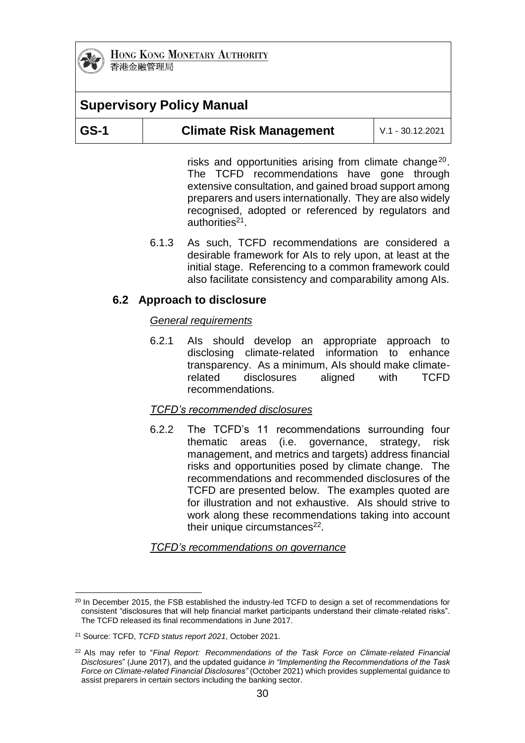

# **Supervisory Policy Manual**

| GS-1 | <b>Climate Risk Management</b> | $V.1 - 30.12.2021$ |
|------|--------------------------------|--------------------|
|------|--------------------------------|--------------------|

risks and opportunities arising from climate change<sup>20</sup>. The TCFD recommendations have gone through extensive consultation, and gained broad support among preparers and users internationally. They are also widely recognised, adopted or referenced by regulators and authorities<sup>21</sup>.

6.1.3 As such, TCFD recommendations are considered a desirable framework for AIs to rely upon, at least at the initial stage. Referencing to a common framework could also facilitate consistency and comparability among AIs.

### **6.2 Approach to disclosure**

#### *General requirements*

6.2.1 AIs should develop an appropriate approach to disclosing climate-related information to enhance transparency. As a minimum, AIs should make climaterelated disclosures aligned with TCFD recommendations.

#### *TCFD's recommended disclosures*

6.2.2 The TCFD's 11 recommendations surrounding four thematic areas (i.e. governance, strategy, risk management, and metrics and targets) address financial risks and opportunities posed by climate change. The recommendations and recommended disclosures of the TCFD are presented below. The examples quoted are for illustration and not exhaustive. AIs should strive to work along these recommendations taking into account their unique circumstances $^{22}$ .

*TCFD's recommendations on governance*

<sup>1</sup>  $20$  In December 2015, the FSB established the industry-led TCFD to design a set of recommendations for consistent "disclosures that will help financial market participants understand their climate-related risks". The TCFD released its final recommendations in June 2017.

<sup>21</sup> Source: TCFD, *TCFD status report 2021*, October 2021.

<sup>22</sup> AIs may refer to "*Final Report: Recommendations of the Task Force on Climate-related Financial Disclosures*" (June 2017), and the updated guidance *in "Implementing the Recommendations of the Task Force on Climate-related Financial Disclosures"* (October 2021) which provides supplemental guidance to assist preparers in certain sectors including the banking sector.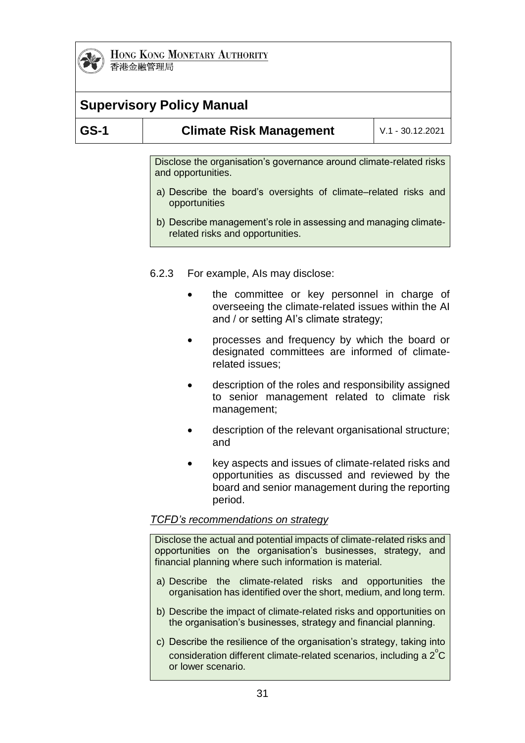

| 日记业品单口公司 |  |
|----------|--|
|          |  |
|          |  |

| <b>Supervisory Policy Manual</b>   |                                                                                                                                                                                                                                                                                       |  |                                                                                                                                                                      |                    |
|------------------------------------|---------------------------------------------------------------------------------------------------------------------------------------------------------------------------------------------------------------------------------------------------------------------------------------|--|----------------------------------------------------------------------------------------------------------------------------------------------------------------------|--------------------|
| <b>GS-1</b>                        |                                                                                                                                                                                                                                                                                       |  | <b>Climate Risk Management</b>                                                                                                                                       | $V.1 - 30.12.2021$ |
|                                    | Disclose the organisation's governance around climate-related risks<br>and opportunities.<br>a) Describe the board's oversights of climate–related risks and<br>opportunities<br>b) Describe management's role in assessing and managing climate-<br>related risks and opportunities. |  |                                                                                                                                                                      |                    |
|                                    | 6.2.3<br>For example, Als may disclose:                                                                                                                                                                                                                                               |  |                                                                                                                                                                      |                    |
|                                    |                                                                                                                                                                                                                                                                                       |  | the committee or key personnel in charge of<br>overseeing the climate-related issues within the AI<br>and / or setting Al's climate strategy;                        |                    |
|                                    | processes and frequency by which the board or<br>designated committees are informed of climate-<br>related issues;                                                                                                                                                                    |  |                                                                                                                                                                      |                    |
|                                    |                                                                                                                                                                                                                                                                                       |  | description of the roles and responsibility assigned<br>to senior management related to climate risk<br>management;                                                  |                    |
|                                    |                                                                                                                                                                                                                                                                                       |  | description of the relevant organisational structure;<br>and                                                                                                         |                    |
|                                    |                                                                                                                                                                                                                                                                                       |  | key aspects and issues of climate-related risks and<br>opportunities as discussed and reviewed by the<br>board and senior management during the reporting<br>period. |                    |
| TCFD's recommendations on strategy |                                                                                                                                                                                                                                                                                       |  |                                                                                                                                                                      |                    |
|                                    | Disclose the actual and potential impacts of climate-related risks and<br>opportunities on the organisation's businesses, strategy,<br>and<br>financial planning where such information is material.                                                                                  |  |                                                                                                                                                                      |                    |
|                                    | a) Describe the climate-related risks and opportunities the<br>organisation has identified over the short, medium, and long term.                                                                                                                                                     |  |                                                                                                                                                                      |                    |
|                                    |                                                                                                                                                                                                                                                                                       |  | b) Describe the impact of climate-related risks and opportunities on<br>the organisation's businesses, strategy and financial planning.                              |                    |

c) Describe the resilience of the organisation's strategy, taking into consideration different climate-related scenarios, including a  $2^{\circ}$ C or lower scenario.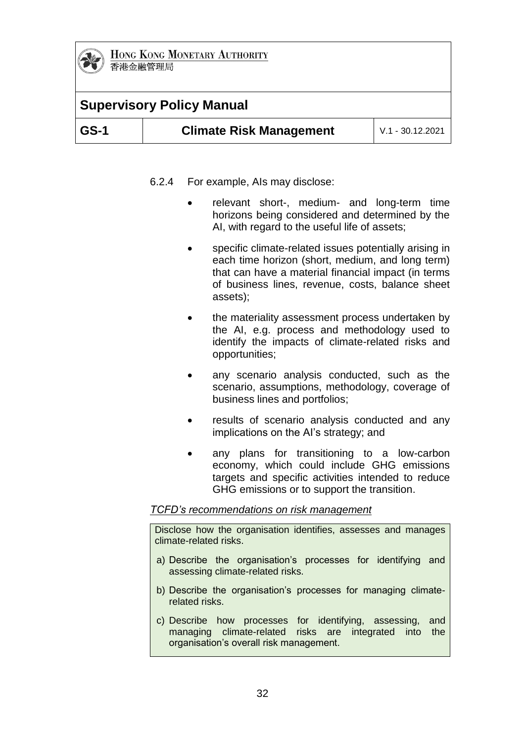

# **Supervisory Policy Manual**

| $ GS-1 $ | <b>Climate Risk Management</b> | $\mid$ V.1 - 30.12.2021 |
|----------|--------------------------------|-------------------------|
|----------|--------------------------------|-------------------------|

- 6.2.4 For example, AIs may disclose:
	- relevant short-, medium- and long-term time horizons being considered and determined by the AI, with regard to the useful life of assets;
	- specific climate-related issues potentially arising in each time horizon (short, medium, and long term) that can have a material financial impact (in terms of business lines, revenue, costs, balance sheet assets);
	- the materiality assessment process undertaken by the AI, e.g. process and methodology used to identify the impacts of climate-related risks and opportunities;
	- any scenario analysis conducted, such as the scenario, assumptions, methodology, coverage of business lines and portfolios;
	- results of scenario analysis conducted and any implications on the AI's strategy; and
	- any plans for transitioning to a low-carbon economy, which could include GHG emissions targets and specific activities intended to reduce GHG emissions or to support the transition.

#### *TCFD's recommendations on risk management*

Disclose how the organisation identifies, assesses and manages climate-related risks.

- a) Describe the organisation's processes for identifying and assessing climate-related risks.
- b) Describe the organisation's processes for managing climaterelated risks.
- c) Describe how processes for identifying, assessing, and managing climate-related risks are integrated into the organisation's overall risk management.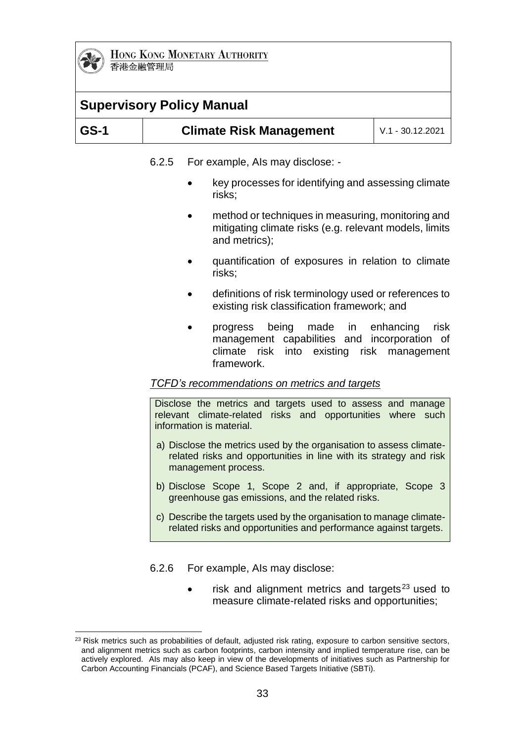

# **Supervisory Policy Manual**

| $\overline{\text{GS-1}}$ | <b>Climate Risk Management</b> | $V.1 - 30.12.2021$ |
|--------------------------|--------------------------------|--------------------|
|                          |                                |                    |

6.2.5 For example, AIs may disclose: -

- key processes for identifying and assessing climate risks;
- method or techniques in measuring, monitoring and mitigating climate risks (e.g. relevant models, limits and metrics);
- quantification of exposures in relation to climate risks;
- definitions of risk terminology used or references to existing risk classification framework; and
- progress being made in enhancing risk management capabilities and incorporation of climate risk into existing risk management framework.

#### *TCFD's recommendations on metrics and targets*

Disclose the metrics and targets used to assess and manage relevant climate-related risks and opportunities where such information is material.

- a) Disclose the metrics used by the organisation to assess climaterelated risks and opportunities in line with its strategy and risk management process.
- b) Disclose Scope 1, Scope 2 and, if appropriate, Scope 3 greenhouse gas emissions, and the related risks.
- c) Describe the targets used by the organisation to manage climaterelated risks and opportunities and performance against targets.

6.2.6 For example, AIs may disclose:

risk and alignment metrics and targets $23$  used to measure climate-related risks and opportunities;

<sup>1</sup> <sup>23</sup> Risk metrics such as probabilities of default, adjusted risk rating, exposure to carbon sensitive sectors, and alignment metrics such as carbon footprints, carbon intensity and implied temperature rise, can be actively explored. AIs may also keep in view of the developments of initiatives such as Partnership for Carbon Accounting Financials (PCAF), and Science Based Targets Initiative (SBTi).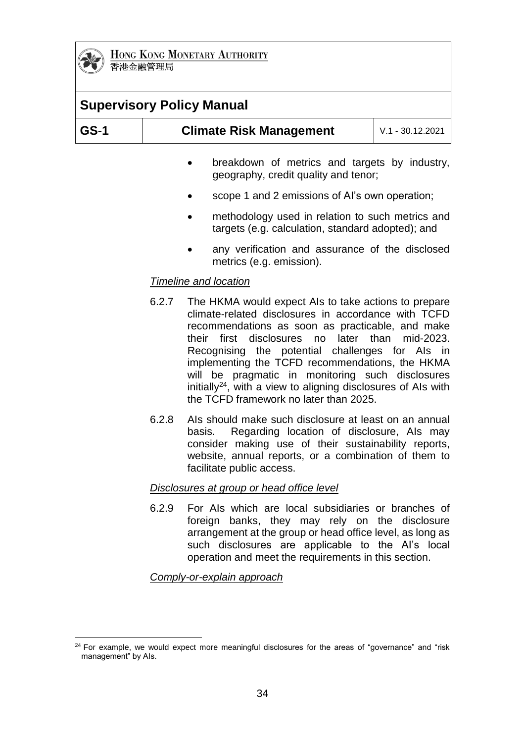

| <b>Supervisory Policy Manual</b> |                                                      |                                                                                                       |  |
|----------------------------------|------------------------------------------------------|-------------------------------------------------------------------------------------------------------|--|
| $GS-1$                           | <b>Climate Risk Management</b><br>$V.1 - 30.12.2021$ |                                                                                                       |  |
|                                  | $\bullet$                                            | breakdown of metrics and targets by industry,<br>geography, credit quality and tenor;                 |  |
|                                  |                                                      | scope 1 and 2 emissions of Al's own operation;                                                        |  |
|                                  |                                                      | methodology used in relation to such metrics and<br>targets (e.g. calculation, standard adopted); and |  |
|                                  |                                                      | any verification and assurance of the disclosed<br>metrics (e.g. emission).                           |  |
|                                  | Timeline and location                                |                                                                                                       |  |

- 6.2.7 The HKMA would expect AIs to take actions to prepare climate-related disclosures in accordance with TCFD recommendations as soon as practicable, and make their first disclosures no later than mid-2023. Recognising the potential challenges for AIs in implementing the TCFD recommendations, the HKMA will be pragmatic in monitoring such disclosures initially<sup>24</sup>, with a view to aligning disclosures of AIs with the TCFD framework no later than 2025.
- 6.2.8 AIs should make such disclosure at least on an annual basis. Regarding location of disclosure, AIs may consider making use of their sustainability reports, website, annual reports, or a combination of them to facilitate public access.

#### *Disclosures at group or head office level*

6.2.9 For AIs which are local subsidiaries or branches of foreign banks, they may rely on the disclosure arrangement at the group or head office level, as long as such disclosures are applicable to the AI's local operation and meet the requirements in this section.

#### *Comply-or-explain approach*

<sup>1</sup>  $24$  For example, we would expect more meaningful disclosures for the areas of "governance" and "risk management" by AIs.